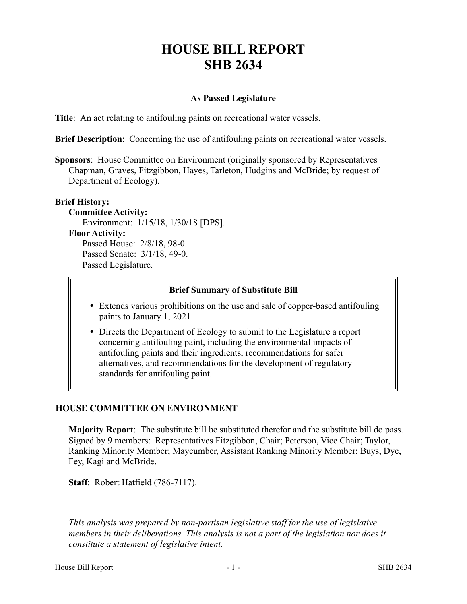# **HOUSE BILL REPORT SHB 2634**

## **As Passed Legislature**

**Title**: An act relating to antifouling paints on recreational water vessels.

**Brief Description**: Concerning the use of antifouling paints on recreational water vessels.

**Sponsors**: House Committee on Environment (originally sponsored by Representatives Chapman, Graves, Fitzgibbon, Hayes, Tarleton, Hudgins and McBride; by request of Department of Ecology).

#### **Brief History:**

**Committee Activity:** Environment: 1/15/18, 1/30/18 [DPS]. **Floor Activity:** Passed House: 2/8/18, 98-0. Passed Senate: 3/1/18, 49-0. Passed Legislature.

#### **Brief Summary of Substitute Bill**

- Extends various prohibitions on the use and sale of copper-based antifouling paints to January 1, 2021.
- Directs the Department of Ecology to submit to the Legislature a report concerning antifouling paint, including the environmental impacts of antifouling paints and their ingredients, recommendations for safer alternatives, and recommendations for the development of regulatory standards for antifouling paint.

#### **HOUSE COMMITTEE ON ENVIRONMENT**

**Majority Report**: The substitute bill be substituted therefor and the substitute bill do pass. Signed by 9 members: Representatives Fitzgibbon, Chair; Peterson, Vice Chair; Taylor, Ranking Minority Member; Maycumber, Assistant Ranking Minority Member; Buys, Dye, Fey, Kagi and McBride.

**Staff**: Robert Hatfield (786-7117).

––––––––––––––––––––––

*This analysis was prepared by non-partisan legislative staff for the use of legislative members in their deliberations. This analysis is not a part of the legislation nor does it constitute a statement of legislative intent.*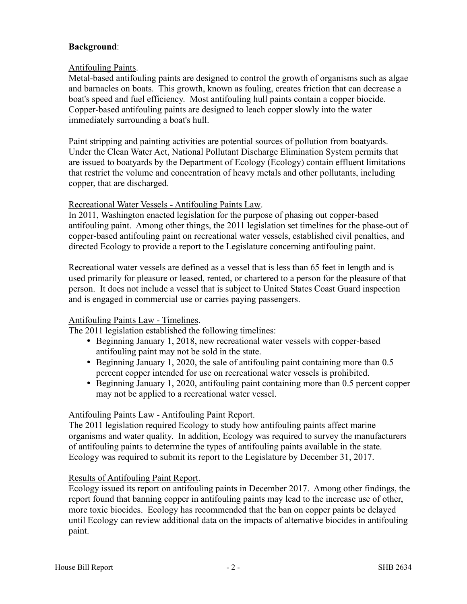# **Background**:

## Antifouling Paints.

Metal-based antifouling paints are designed to control the growth of organisms such as algae and barnacles on boats. This growth, known as fouling, creates friction that can decrease a boat's speed and fuel efficiency. Most antifouling hull paints contain a copper biocide. Copper-based antifouling paints are designed to leach copper slowly into the water immediately surrounding a boat's hull.

Paint stripping and painting activities are potential sources of pollution from boatyards. Under the Clean Water Act, National Pollutant Discharge Elimination System permits that are issued to boatyards by the Department of Ecology (Ecology) contain effluent limitations that restrict the volume and concentration of heavy metals and other pollutants, including copper, that are discharged.

#### Recreational Water Vessels - Antifouling Paints Law.

In 2011, Washington enacted legislation for the purpose of phasing out copper-based antifouling paint. Among other things, the 2011 legislation set timelines for the phase-out of copper-based antifouling paint on recreational water vessels, established civil penalties, and directed Ecology to provide a report to the Legislature concerning antifouling paint.

Recreational water vessels are defined as a vessel that is less than 65 feet in length and is used primarily for pleasure or leased, rented, or chartered to a person for the pleasure of that person. It does not include a vessel that is subject to United States Coast Guard inspection and is engaged in commercial use or carries paying passengers.

# Antifouling Paints Law - Timelines.

The 2011 legislation established the following timelines:

- Beginning January 1, 2018, new recreational water vessels with copper-based antifouling paint may not be sold in the state.
- Beginning January 1, 2020, the sale of antifouling paint containing more than 0.5 percent copper intended for use on recreational water vessels is prohibited.
- Beginning January 1, 2020, antifouling paint containing more than 0.5 percent copper may not be applied to a recreational water vessel.

# Antifouling Paints Law - Antifouling Paint Report.

The 2011 legislation required Ecology to study how antifouling paints affect marine organisms and water quality. In addition, Ecology was required to survey the manufacturers of antifouling paints to determine the types of antifouling paints available in the state. Ecology was required to submit its report to the Legislature by December 31, 2017.

#### Results of Antifouling Paint Report.

Ecology issued its report on antifouling paints in December 2017. Among other findings, the report found that banning copper in antifouling paints may lead to the increase use of other, more toxic biocides. Ecology has recommended that the ban on copper paints be delayed until Ecology can review additional data on the impacts of alternative biocides in antifouling paint.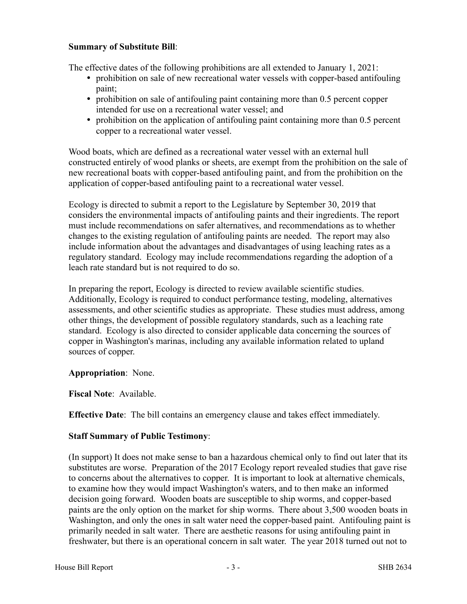## **Summary of Substitute Bill**:

The effective dates of the following prohibitions are all extended to January 1, 2021:

- prohibition on sale of new recreational water vessels with copper-based antifouling paint;
- prohibition on sale of antifouling paint containing more than 0.5 percent copper intended for use on a recreational water vessel; and
- prohibition on the application of antifouling paint containing more than 0.5 percent copper to a recreational water vessel.

Wood boats, which are defined as a recreational water vessel with an external hull constructed entirely of wood planks or sheets, are exempt from the prohibition on the sale of new recreational boats with copper-based antifouling paint, and from the prohibition on the application of copper-based antifouling paint to a recreational water vessel.

Ecology is directed to submit a report to the Legislature by September 30, 2019 that considers the environmental impacts of antifouling paints and their ingredients. The report must include recommendations on safer alternatives, and recommendations as to whether changes to the existing regulation of antifouling paints are needed. The report may also include information about the advantages and disadvantages of using leaching rates as a regulatory standard. Ecology may include recommendations regarding the adoption of a leach rate standard but is not required to do so.

In preparing the report, Ecology is directed to review available scientific studies. Additionally, Ecology is required to conduct performance testing, modeling, alternatives assessments, and other scientific studies as appropriate. These studies must address, among other things, the development of possible regulatory standards, such as a leaching rate standard. Ecology is also directed to consider applicable data concerning the sources of copper in Washington's marinas, including any available information related to upland sources of copper.

# **Appropriation**: None.

**Fiscal Note**: Available.

**Effective Date**: The bill contains an emergency clause and takes effect immediately.

# **Staff Summary of Public Testimony**:

(In support) It does not make sense to ban a hazardous chemical only to find out later that its substitutes are worse. Preparation of the 2017 Ecology report revealed studies that gave rise to concerns about the alternatives to copper. It is important to look at alternative chemicals, to examine how they would impact Washington's waters, and to then make an informed decision going forward. Wooden boats are susceptible to ship worms, and copper-based paints are the only option on the market for ship worms. There about 3,500 wooden boats in Washington, and only the ones in salt water need the copper-based paint. Antifouling paint is primarily needed in salt water. There are aesthetic reasons for using antifouling paint in freshwater, but there is an operational concern in salt water. The year 2018 turned out not to